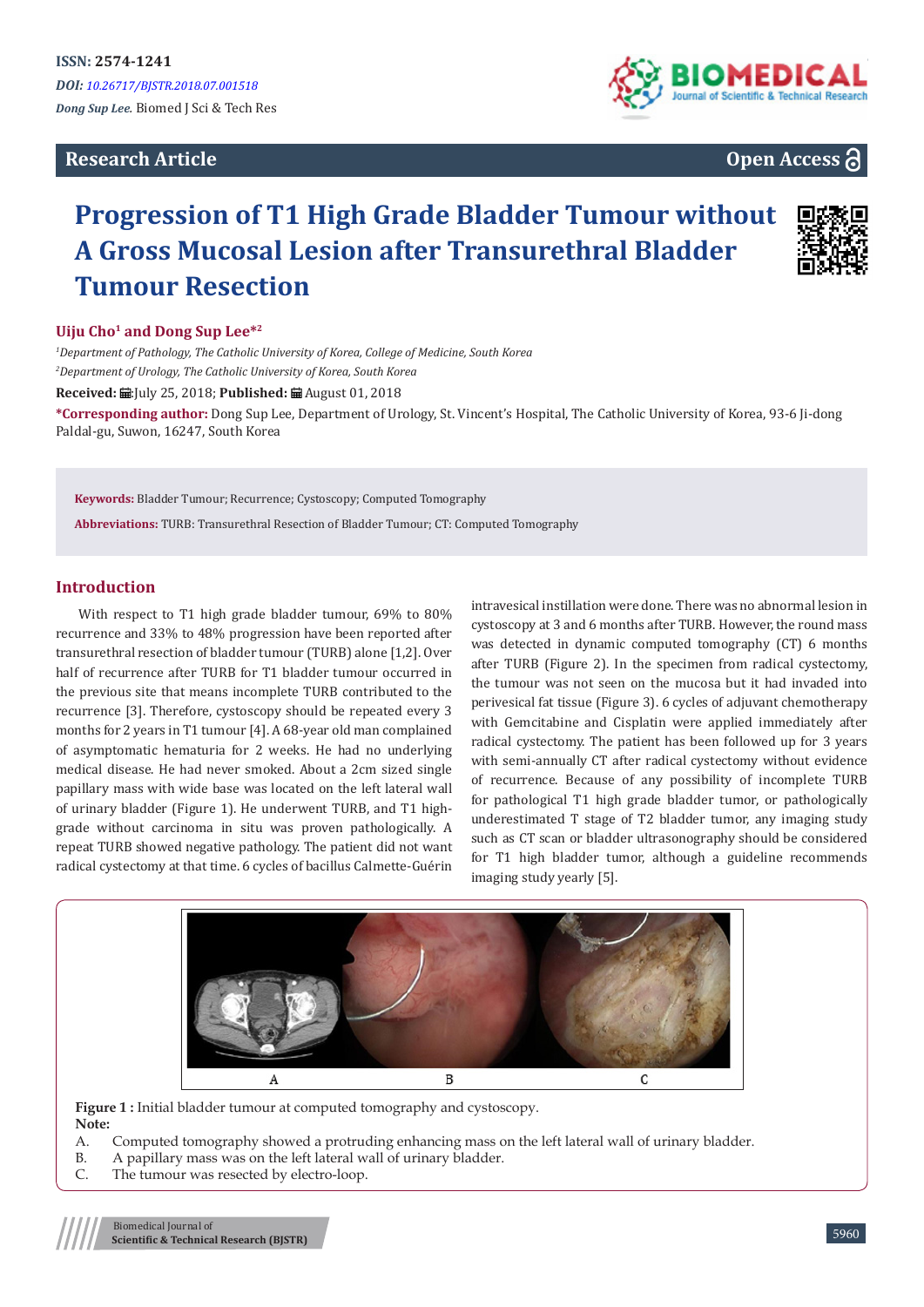# **Research Article**



# **Open Access**

# **Progression of T1 High Grade Bladder Tumour without A Gross Mucosal Lesion after Transurethral Bladder Tumour Resection**



#### **Uiju Cho1 and Dong Sup Lee\*<sup>2</sup>**

*1 Department of Pathology, The Catholic University of Korea, College of Medicine, South Korea 2 Department of Urology, The Catholic University of Korea, South Korea*

**Received:**  $\blacksquare$ **:** [uly 25, 2018; **Published:**  $\blacksquare$  August 01, 2018

**\*Corresponding author:** Dong Sup Lee, Department of Urology, St. Vincent's Hospital, The Catholic University of Korea, 93-6 Ji-dong Paldal-gu, Suwon, 16247, South Korea

**Keywords:** Bladder Tumour; Recurrence; Cystoscopy; Computed Tomography

**Abbreviations:** TURB: Transurethral Resection of Bladder Tumour; CT: Computed Tomography

### **Introduction**

With respect to T1 high grade bladder tumour, 69% to 80% recurrence and 33% to 48% progression have been reported after transurethral resection of bladder tumour (TURB) alone [1,2]. Over half of recurrence after TURB for T1 bladder tumour occurred in the previous site that means incomplete TURB contributed to the recurrence [3]. Therefore, cystoscopy should be repeated every 3 months for 2 years in T1 tumour [4]. A 68-year old man complained of asymptomatic hematuria for 2 weeks. He had no underlying medical disease. He had never smoked. About a 2cm sized single papillary mass with wide base was located on the left lateral wall of urinary bladder (Figure 1). He underwent TURB, and T1 highgrade without carcinoma in situ was proven pathologically. A repeat TURB showed negative pathology. The patient did not want radical cystectomy at that time. 6 cycles of bacillus Calmette-Guérin

intravesical instillation were done. There was no abnormal lesion in cystoscopy at 3 and 6 months after TURB. However, the round mass was detected in dynamic computed tomography (CT) 6 months after TURB (Figure 2). In the specimen from radical cystectomy, the tumour was not seen on the mucosa but it had invaded into perivesical fat tissue (Figure 3). 6 cycles of adjuvant chemotherapy with Gemcitabine and Cisplatin were applied immediately after radical cystectomy. The patient has been followed up for 3 years with semi-annually CT after radical cystectomy without evidence of recurrence. Because of any possibility of incomplete TURB for pathological T1 high grade bladder tumor, or pathologically underestimated T stage of T2 bladder tumor, any imaging study such as CT scan or bladder ultrasonography should be considered for T1 high bladder tumor, although a guideline recommends imaging study yearly [5].



Figure 1 : Initial bladder tumour at computed tomography and cystoscopy. **Note:**

- A. Computed tomography showed a protruding enhancing mass on the left lateral wall of urinary bladder.
- B. A papillary mass was on the left lateral wall of urinary bladder.
- C. The tumour was resected by electro-loop.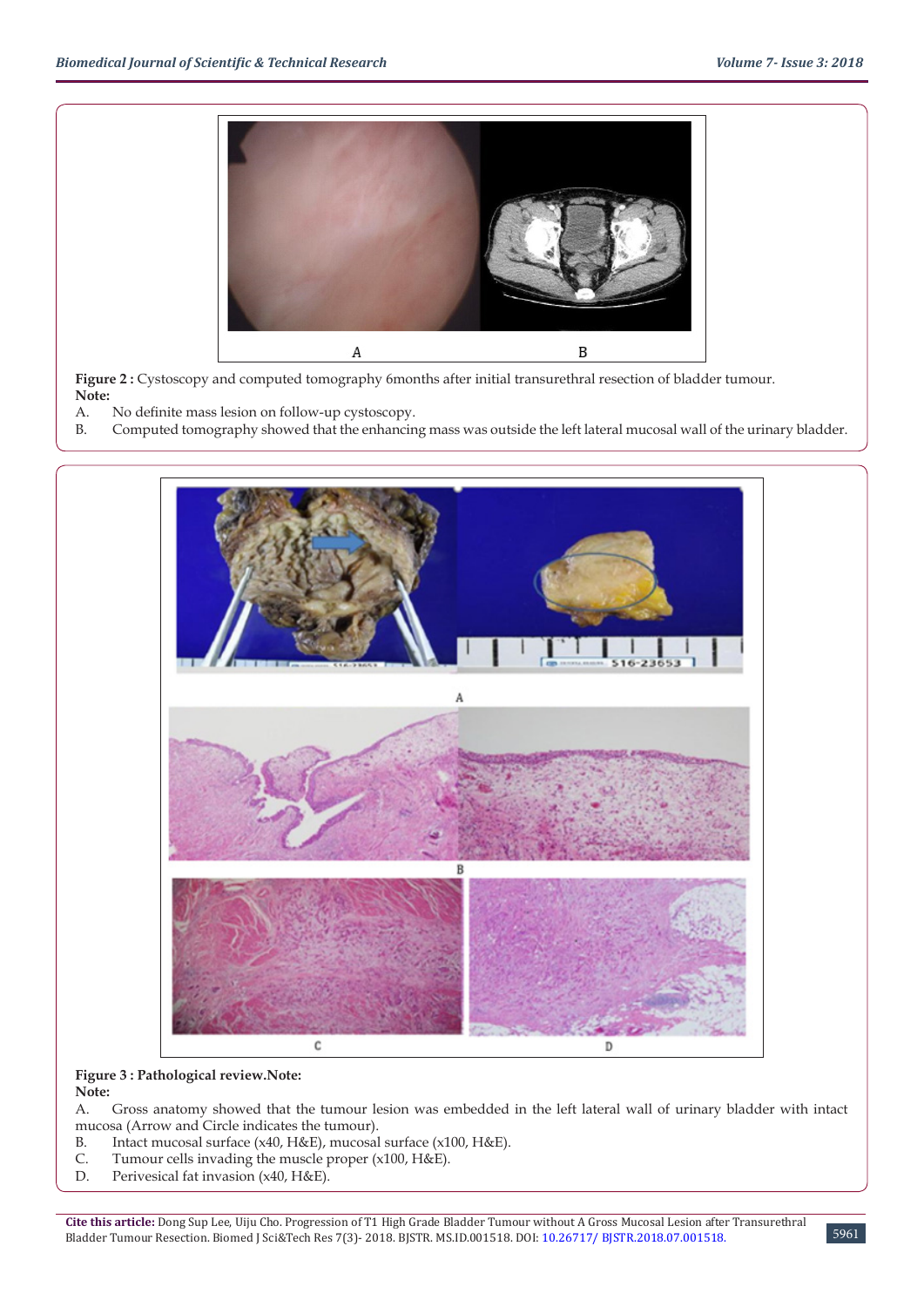

Figure 2 : Cystoscopy and computed tomography 6months after initial transurethral resection of bladder tumour. **Note:**

- A. No definite mass lesion on follow-up cystoscopy.
- B. Computed tomography showed that the enhancing mass was outside the left lateral mucosal wall of the urinary bladder.



#### **Figure 3 : Pathological review.Note: Note:**

A. Gross anatomy showed that the tumour lesion was embedded in the left lateral wall of urinary bladder with intact mucosa (Arrow and Circle indicates the tumour).

- B. Intact mucosal surface (x40, H&E), mucosal surface (x100, H&E).
- C. Tumour cells invading the muscle proper (x100, H&E).
- D. Perivesical fat invasion (x40, H&E).